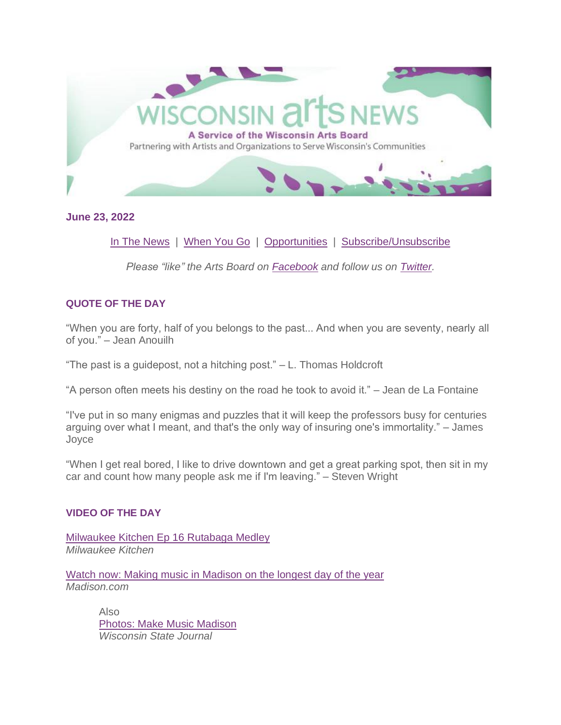

**June 23, 2022**

[In The News](#page-6-0) | [When You Go](#page-7-0) | [Opportunities](#page-8-0) | [Subscribe/Unsubscribe](#page-12-0)

*Please "like" the Arts Board on [Facebook](http://www.facebook.com/WisconsinArtsBoard) and follow us on [Twitter.](https://twitter.com/#!/@wiartsboard)*

# **QUOTE OF THE DAY**

"When you are forty, half of you belongs to the past... And when you are seventy, nearly all of you." – Jean Anouilh

"The past is a guidepost, not a hitching post." – L. Thomas Holdcroft

"A person often meets his destiny on the road he took to avoid it." – Jean de La Fontaine

"I've put in so many enigmas and puzzles that it will keep the professors busy for centuries arguing over what I meant, and that's the only way of insuring one's immortality." – James Joyce

"When I get real bored, I like to drive downtown and get a great parking spot, then sit in my car and count how many people ask me if I'm leaving." – Steven Wright

# **VIDEO OF THE DAY**

[Milwaukee Kitchen Ep 16 Rutabaga Medley](https://youtu.be/mpgQFGROJgk) *Milwaukee Kitchen*

[Watch now: Making music in Madison on the longest day of the year](https://madison.com/entertainment/arts-and-theatre/watch-now-making-music-in-madison-on-the-longest-day-of-the-year/video_6e463ef9-1410-5bc5-a4c6-87589090fbd2.html) *Madison.com*

> Also [Photos: Make Music Madison](https://madison.com/news/local/photos-make-music-madison/collection_0558909b-924e-53ce-b6f7-9f3b8bfff05c.html) *Wisconsin State Journal*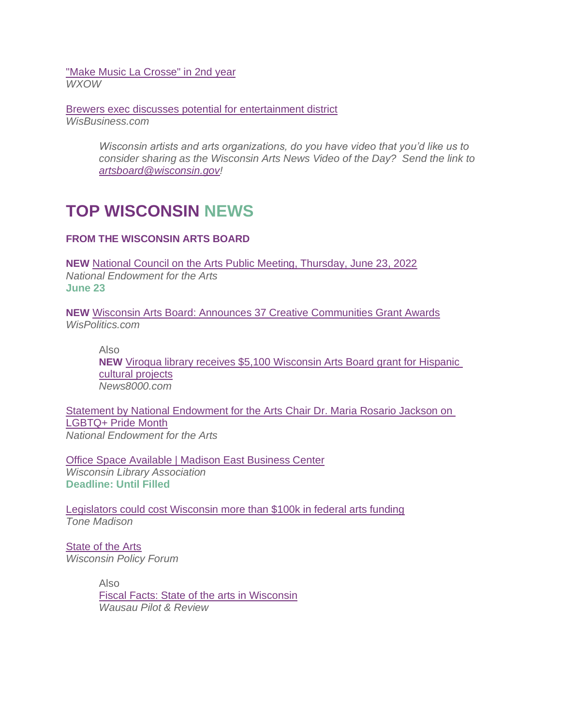["Make Music La Crosse" in 2nd year](https://www.wxow.com/news/make-music-la-crosse-in-2nd-year/article_374c21a2-f1a1-11ec-b47c-8f5824c11ef2.html) *WXOW*

[Brewers exec discusses potential for entertainment district](https://www.wisbusiness.com/2022/brewers-exec-discusses-potential-for-entertainment-district/) *WisBusiness.com*

> *Wisconsin artists and arts organizations, do you have video that you'd like us to consider sharing as the Wisconsin Arts News Video of the Day? Send the link to [artsboard@wisconsin.gov!](mailto:artsboard@wisconsin.gov)*

# **TOP WISCONSIN NEWS**

# **FROM THE WISCONSIN ARTS BOARD**

**NEW** [National Council on the Arts Public Meeting, Thursday, June 23, 2022](https://www.arts.gov/news/press-releases/2022/national-council-arts-public-meeting-thursday-june-23-2022) *National Endowment for the Arts* **June 23**

**NEW** [Wisconsin Arts Board: Announces 37 Creative Communities Grant Awards](https://www.wispolitics.com/2022/wisconsin-arts-board-announces-37-creative-communities-grant-awards/) *WisPolitics.com* 

Also

**NEW** [Viroqua library receives \\$5,100 Wisconsin Arts Board grant for Hispanic](https://www.news8000.com/viroqua-library-receives-5100-wisconsin-arts-board-grant-for-hispanic-cultural-projects/)  [cultural projects](https://www.news8000.com/viroqua-library-receives-5100-wisconsin-arts-board-grant-for-hispanic-cultural-projects/) *News8000.com*

[Statement by National Endowment for the Arts Chair Dr. Maria Rosario Jackson on](https://www.arts.gov/news/press-releases/2022/statement-national-endowment-arts-chair-dr-maria-rosario-jackson-lgbtq-pride-month)  [LGBTQ+ Pride Month](https://www.arts.gov/news/press-releases/2022/statement-national-endowment-arts-chair-dr-maria-rosario-jackson-lgbtq-pride-month) *National Endowment for the Arts*

[Office Space Available | Madison East Business Center](https://www.wisconsinlibraries.org/index.php?option=com_content&view=article&id=3153:office-space-available-&catid=50:about-us) *Wisconsin Library Association* **Deadline: Until Filled**

[Legislators could cost Wisconsin more than \\$100k in federal arts funding](https://tonemadison.com/articles/legislators-could-cost-wisconsin-more-than-100k-in-federal-arts-funding/) *Tone Madison*

**[State of the Arts](https://www.wpr.org/sites/default/files/policyforum_artsculture.pdf)** *Wisconsin Policy Forum*

> Also [Fiscal Facts: State of the arts in Wisconsin](https://wausaupilotandreview.com/2022/05/07/fiscal-facts-state-of-the-arts-in-wisconsin/) *Wausau Pilot & Review*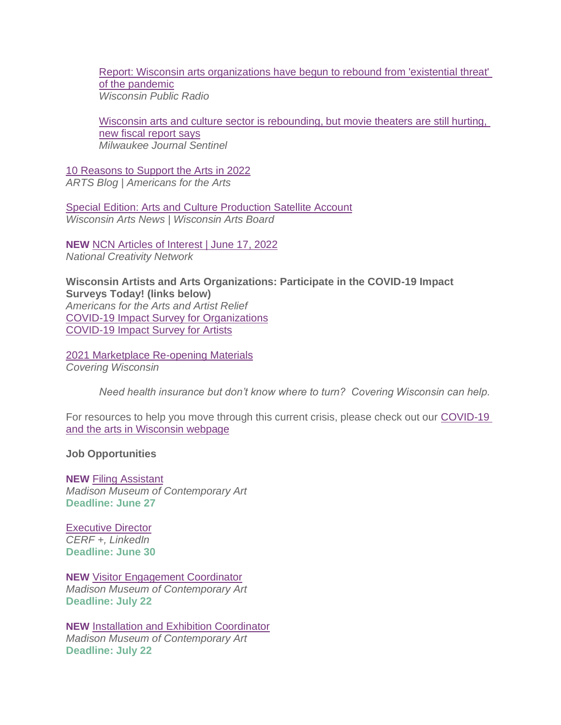[Report: Wisconsin arts organizations have begun to rebound from 'existential threat'](https://www.wpr.org/report-wisconsin-arts-organizations-have-begun-rebound-existential-threat-pandemic)  [of the pandemic](https://www.wpr.org/report-wisconsin-arts-organizations-have-begun-rebound-existential-threat-pandemic) *Wisconsin Public Radio*

[Wisconsin arts and culture sector is rebounding, but movie theaters are still hurting,](https://www.jsonline.com/story/entertainment/arts/2022/04/28/arts-cultures-wisconsin-policy-forum-2022/9556726002/)  [new fiscal report says](https://www.jsonline.com/story/entertainment/arts/2022/04/28/arts-cultures-wisconsin-policy-forum-2022/9556726002/) *Milwaukee Journal Sentinel*

[10 Reasons to Support the Arts in 2022](https://blog.americansforthearts.org/2022/03/21/10-reasons-to-support-the-arts-in-2022) *ARTS Blog | Americans for the Arts*

[Special Edition: Arts and Culture Production Satellite Account](https://artsboard.wisconsin.gov/Documents/DailyNewsArchive/031622specialwan.pdf) *Wisconsin Arts News | Wisconsin Arts Board*

**NEW** [NCN Articles of Interest | June 17, 2022](https://img1.wsimg.com/blobby/go/0b834bc8-fc55-4fd6-b98a-95c9093d3ec1/downloads/NCNarticles061722.pdf?ver=1655481204686) *National Creativity Network*

**Wisconsin Artists and Arts Organizations: Participate in the COVID-19 Impact Surveys Today! (links below)** *Americans for the Arts and Artist Relief* [COVID-19 Impact Survey for Organizations](https://surveys.americansforthearts.org/s3/2021COVIDSURVEY) [COVID-19 Impact Survey for Artists](https://survey.alchemer.com/s3/5992718/571db9cdfa42)

[2021 Marketplace Re-opening Materials](https://www.coveringwi.org/toolkit) *Covering Wisconsin*

*Need health insurance but don't know where to turn? Covering Wisconsin can help.*

For resources to help you move through this current crisis, please check out our COVID-19 [and the arts in Wisconsin webpage](https://artsboard.wisconsin.gov/Pages/COVID-19-Update.aspx)

**Job Opportunities**

**NEW** [Filing Assistant](https://cdn.dirigible.studio/wp-content/uploads/2022/06/17092512/Filing-Assistant-Job-Posting.pdf) *Madison Museum of Contemporary Art* **Deadline: June 27**

[Executive Director](https://www.linkedin.com/jobs/collections/recommended/?currentJobId=3086690080) *CERF +, LinkedIn* **Deadline: June 30**

**NEW** [Visitor Engagement Coordinator](https://cdn.dirigible.studio/wp-content/uploads/2022/06/17092518/Visitor-Engagement-Coordinator-Job-Posting.pdf) *Madison Museum of Contemporary Art* **Deadline: July 22**

**NEW** [Installation and Exhibition Coordinator](https://cdn.dirigible.studio/wp-content/uploads/2022/06/17092516/Installation-and-Exhibition-Coordinator-Job-Posting.pdf) *Madison Museum of Contemporary Art* **Deadline: July 22**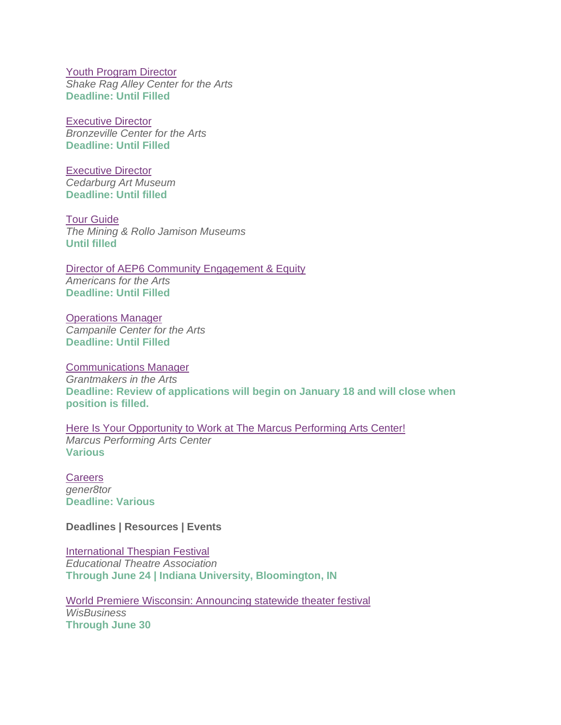[Youth Program Director](https://shakeragalley.org/ypdirector/) *Shake Rag Alley Center for the Arts* **Deadline: Until Filled**

[Executive Director](https://www.bridgepartnersllc.com/assets/pdf/Position-Description-BCA-Executive-Director.pdf) *Bronzeville Center for the Arts* **Deadline: Until Filled** 

[Executive Director](https://www.cedarburgartmuseum.org/employment) *Cedarburg Art Museum* **Deadline: Until filled**

[Tour Guide](https://mining.jamison.museum/team/) *The Mining & Rollo Jamison Museums* **Until filled** 

[Director of AEP6 Community Engagement & Equity](https://americanforthearts.applytojob.com/apply/GMbLPmpErM/Director-Of-AEP6-Community-Engagement-Equity) *Americans for the Arts* **Deadline: Until Filled**

[Operations Manager](https://www.campanilecenter.org/wp-content/uploads/2021/11/CCA-Operations-Mgr-Job-Description.pdf) *Campanile Center for the Arts* **Deadline: Until Filled**

[Communications Manager](https://www.giarts.org/job-notice-communications-manager-grantmakers-arts) *Grantmakers in the Arts* **Deadline: Review of applications will begin on January 18 and will close when position is filled.**

[Here Is Your Opportunity to Work at The Marcus Performing Arts Center!](https://www.marcuscenter.org/about/employment) *Marcus Performing Arts Center* **Various**

**[Careers](https://www.gener8tor.com/careers)** *gener8tor* **Deadline: Various**

**Deadlines | Resources | Events**

[International Thespian Festival](https://itf.schooltheatre.org/) *Educational Theatre Association*  **Through June 24 | Indiana University, Bloomington, IN**

[World Premiere Wisconsin: Announcing statewide theater festival](https://www.wisbusiness.com/2022/world-premiere-wisconsin-announcing-statewide-theater-festival/) *WisBusiness* **Through June 30**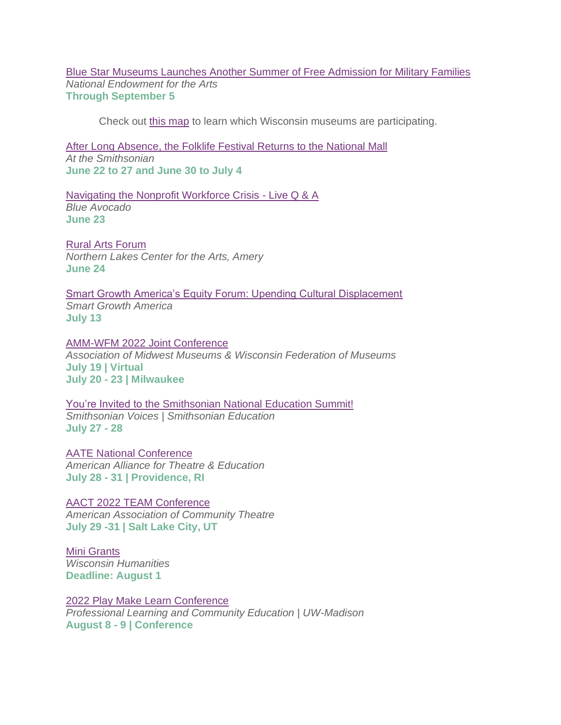[Blue Star Museums Launches Another Summer of Free Admission for Military Families](https://www.arts.gov/news/press-releases/2022/blue-star-museums-launches-another-summer-free-admission-military-families) *National Endowment for the Arts* **Through September 5**

Check out [this map](https://www.arts.gov/blue-star-museum-map) to learn which Wisconsin museums are participating.

[After Long Absence, the Folklife Festival Returns to the National Mall](https://www.smithsonianmag.com/smithsonian-institution/after-long-absence-the-folklife-festival-returns-to-the-national-mall-180980249/) *At the Smithsonian*  **June 22 to 27 and June 30 to July 4**

[Navigating the Nonprofit Workforce Crisis -](https://ba.blueavocado.org/register?utm_medium=email&_hsmi=212186581&_hsenc=p2ANqtz-_SaOr_6Jf0H5YVZ-S2n8MfOm9rGgE5BZxmMMXgfpFRKIsnLCtncXETs7uAvEDtytARQGCWkSgmxZXm-arcI-1HQMn1AedRRLGD7t44bB4i9p8bJ2Q&utm_content=212186581&utm_source=hs_email) Live Q & A *Blue Avocado* **June 23**

[Rural Arts Forum](https://www.facebook.com/events/453044533289388) *Northern Lakes Center for the Arts, Amery* **June 24**

[Smart Growth America's Equity Forum: Upending Cultural Displacement](https://smartgrowthamerica.org/equity-forum-cultural-displacement/) *Smart Growth America* **July 13**

[AMM-WFM 2022 Joint Conference](https://www.ammconference.org/) *Association of Midwest Museums & Wisconsin Federation of Museums* **July 19 | Virtual July 20 - 23 | Milwaukee**

You're Invited to [the Smithsonian National Education Summit!](https://www.smithsonianmag.com/blogs/smithsonian-education/2022/06/14/youre-invited-to-the-smithsonian-national-education-summit/) *Smithsonian Voices | Smithsonian Education* **July 27 - 28**

[AATE National Conference](https://aate.memberclicks.net/2022-aate-national-conference) *American Alliance for Theatre & Education* **July 28 - 31 | Providence, RI**

[AACT 2022 TEAM Conference](https://aact.org/teams-conference) *American Association of Community Theatre* **July 29 -31 | Salt Lake City, UT**

[Mini Grants](https://wisconsinhumanities.org/grants/grants-for-humanities-programs/) *Wisconsin Humanities* **Deadline: August 1**

[2022 Play Make Learn Conference](https://web.cvent.com/event/f0d9395e-fb6a-427c-9fb1-bf2b72d48d5d/summary) *Professional Learning and Community Education | UW-Madison* **August 8 - 9 | Conference**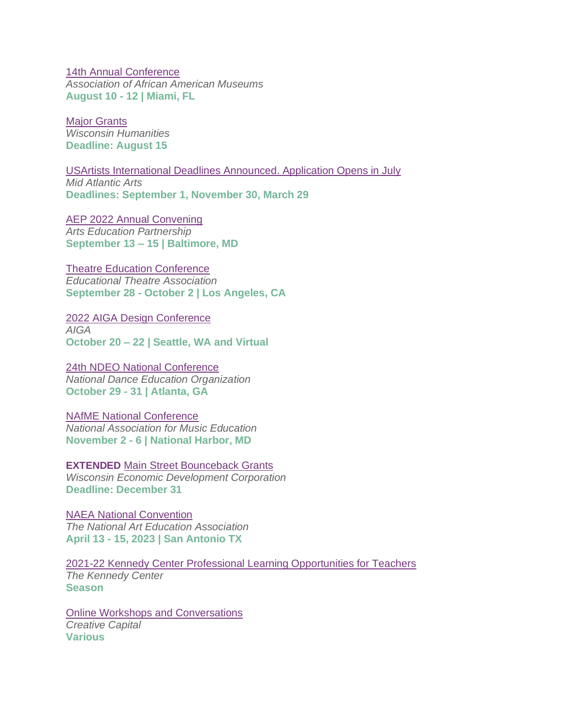[14th Annual Conference](https://aaam.wildapricot.org/event-3508951) *Association of African American Museums* **August 10 - 12 | Miami, FL**

[Major Grants](https://wisconsinhumanities.org/grants/grants-for-humanities-programs/) *Wisconsin Humanities* **Deadline: August 15**

[USArtists International Deadlines Announced. Application Opens in July](https://www.midatlanticarts.org/grants-programs/grants-for-artists/#usartists-international) *Mid Atlantic Arts* **Deadlines: September 1, November 30, March 29**

[AEP 2022 Annual Convening](https://www.aep-arts.org/annual-convening/2022-aep-annual-convening/) *Arts Education Partnership*  **September 13 – 15 | Baltimore, MD**

[Theatre Education Conference](https://tec.schooltheatre.org/) *Educational Theatre Association*  **September 28 - October 2 | Los Angeles, CA**

[2022 AIGA Design Conference](https://www.aiga.org/design/design-conferences/aiga-design-conference) *AIGA* **October 20 – 22 | Seattle, WA and Virtual**

[24th NDEO National Conference](https://www.ndeo.org/Learn/Conferences/Conference-2022) *National Dance Education Organization*  **October 29 - 31 | Atlanta, GA**

[NAfME National Conference](https://nafme.org/events/2022-nafme-national-conference/) *National Association for Music Education* **November 2 - 6 | National Harbor, MD**

**EXTENDED** [Main Street Bounceback Grants](https://wedc.org/programs-and-resources/mainstreet-bounceback-grants/) *Wisconsin Economic Development Corporation* **Deadline: December 31**

[NAEA National Convention](https://www.arteducators.org/events/national-convention/upcoming-conventions) *The National Art Education Association* **April 13 - 15, 2023 | San Antonio TX**

[2021-22 Kennedy Center Professional Learning Opportunities for Teachers](https://web.cvent.com/event/b60dba1d-c607-4db2-bb41-1c18cee5f6ae/websitePage:c19dd06d-a8d0-4ee3-9e09-4cf650805c06) *The Kennedy Center* **Season**

[Online Workshops and Conversations](https://creative-capital.org/calendar/) *Creative Capital* **Various**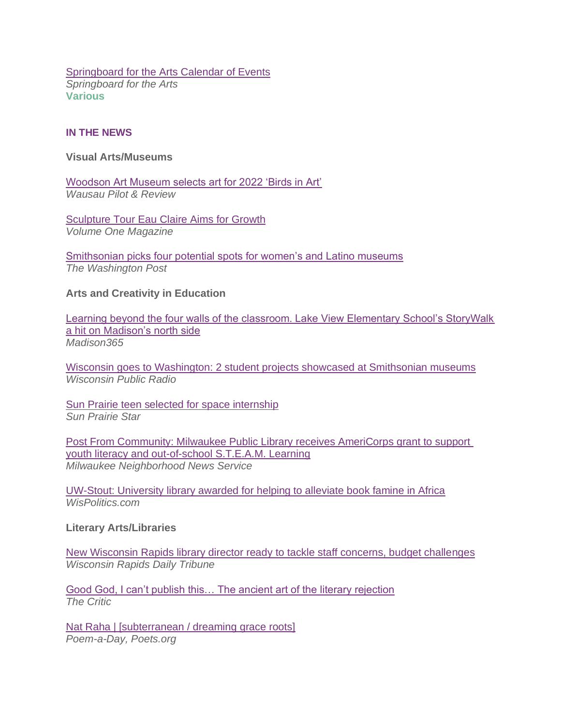**[Springboard for the Arts Calendar of Events](https://springboardforthearts.org/events/)** *Springboard for the Arts* **Various**

## <span id="page-6-0"></span>**IN THE NEWS**

#### **Visual Arts/Museums**

[Woodson Art Museum selects art for 2022 'Birds in Art'](https://wausaupilotandreview.com/2022/06/22/woodson-art-museum-selects-art-for-2022-birds-in-art/) *Wausau Pilot & Review*

**[Sculpture Tour Eau Claire Aims for Growth](https://volumeone.org/videos/2022/06/22/298989-sculpture-tour-eau-claire-aims-for-growth)** *Volume One Magazine*

[Smithsonian picks four potential spots for women's and Latino museums](https://www.washingtonpost.com/arts-entertainment/2022/06/22/latino-museum-womens-history-locations/) *The Washington Post*

## **Arts and Creativity in Education**

[Learning beyond the four walls of the classroom. Lake View Elementary School's StoryWalk](https://madison365.com/learning-beyond-the-four-walls-of-the-classroom-lake-view-elementary-schools-storywalk-a-hit-on-madisons-north-side/)  [a hit on Madison's north side](https://madison365.com/learning-beyond-the-four-walls-of-the-classroom-lake-view-elementary-schools-storywalk-a-hit-on-madisons-north-side/) *Madison365*

[Wisconsin goes to Washington: 2 student projects showcased at Smithsonian museums](https://www.wpr.org/wisconsin-goes-washington-2-student-projects-showcased-smithsonian-museums) *Wisconsin Public Radio*

[Sun Prairie teen selected for space internship](https://www.hngnews.com/sun_prairie_star/community/features/article_6b8b41e4-f09f-11ec-b211-f7644a0aec01.html) *Sun Prairie Star*

[Post From Community: Milwaukee Public Library receives AmeriCorps grant to support](https://milwaukeenns.org/2022/06/23/post-from-community-milwaukee-public-library-receives-americorps-grant-to-support-youth-literacy-and-out-of-school-s-t-e-a-m-learning/)  [youth literacy and out-of-school S.T.E.A.M. Learning](https://milwaukeenns.org/2022/06/23/post-from-community-milwaukee-public-library-receives-americorps-grant-to-support-youth-literacy-and-out-of-school-s-t-e-a-m-learning/) *Milwaukee Neighborhood News Service*

[UW-Stout: University library awarded for helping to alleviate book famine in Africa](https://www.wispolitics.com/2022/uw-stout-university-library-awarded-for-helping-to-alleviate-book-famine-in-africa/) *WisPolitics.com*

#### **Literary Arts/Libraries**

[New Wisconsin Rapids library director ready to tackle staff concerns, budget challenges](https://www.wisconsinrapidstribune.com/story/news/local/2022/06/23/katherine-elchert-named-new-director-wisconsin-rapids-mcmillan-memorial-library/7567435001/) *Wisconsin Rapids Daily Tribune*

[Good God, I can't publish this… The ancient art of the literary rejection](https://thecritic.co.uk/good-god-i-cant-publish-this/) *The Critic*

[Nat Raha | \[subterranean / dreaming grace roots\]](https://poets.org/poem/subterranean-dreaming-grace-roots) *Poem-a-Day, Poets.org*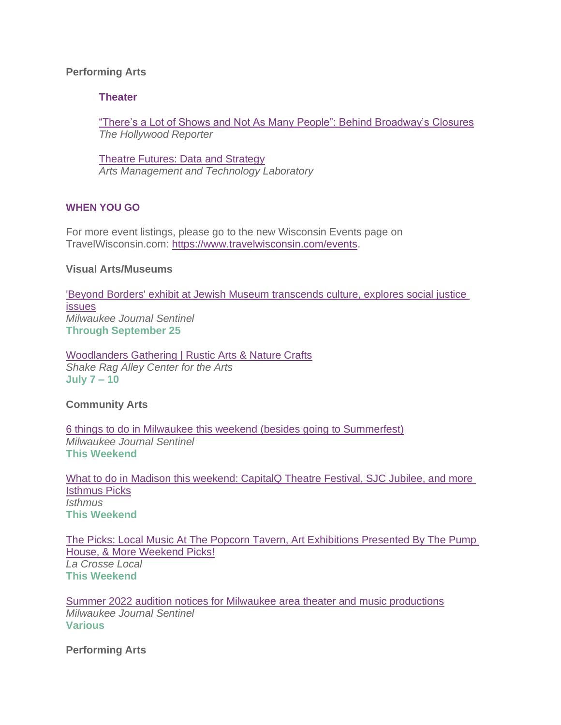# **Performing Arts**

## **Theater**

["There's a Lot of Shows and Not As Many People": Behind Broadway's Closures](https://www.hollywoodreporter.com/business/business-news/broadway-show-closures-summer-tourism-new-york-1235168993/) *The Hollywood Reporter*

[Theatre Futures: Data and Strategy](https://amt-lab.org/blog/2022/6/theatre-opportunities-with-data-and-strategy) *Arts Management and Technology Laboratory*

## <span id="page-7-0"></span>**WHEN YOU GO**

For more event listings, please go to the new Wisconsin Events page on TravelWisconsin.com: [https://www.travelwisconsin.com/events.](https://www.travelwisconsin.com/events)

#### **Visual Arts/Museums**

['Beyond Borders' exhibit at Jewish Museum transcends culture, explores social justice](https://www.jsonline.com/story/news/2022/06/23/jewish-museum-milwaukee-exhibit-explores-global-social-justice-issues/7663448001/)  [issues](https://www.jsonline.com/story/news/2022/06/23/jewish-museum-milwaukee-exhibit-explores-global-social-justice-issues/7663448001/) *Milwaukee Journal Sentinel* **Through September 25**

[Woodlanders Gathering | Rustic Arts & Nature Crafts](https://shakeragalley.org/annual-retreats/woodlanders/) *Shake Rag Alley Center for the Arts* **July 7 – 10**

**Community Arts**

[6 things to do in Milwaukee this weekend \(besides going to Summerfest\)](https://www.jsonline.com/story/entertainment/events/2022/06/22/6-things-do-milwaukee-this-weekend-other-than-summerfest-cedarburg-strawberry-festival-greekfest/7624693001/) *Milwaukee Journal Sentinel* **This Weekend**

[What to do in Madison this weekend: CapitalQ Theatre Festival, SJC Jubilee, and more](https://isthmus.com/arts/isthmus-picks-june-23-to-26-2022/)  [Isthmus Picks](https://isthmus.com/arts/isthmus-picks-june-23-to-26-2022/) *Isthmus* **This Weekend**

[The Picks: Local Music At The Popcorn Tavern, Art Exhibitions Presented By The Pump](https://lacrosselocal.com/the-picks-local-music-at-the-popcorn-tavern-art-exhibitions-presented-by-the-pump-house-more-weekend-picks/)  [House, & More Weekend Picks!](https://lacrosselocal.com/the-picks-local-music-at-the-popcorn-tavern-art-exhibitions-presented-by-the-pump-house-more-weekend-picks/) *La Crosse Local* **This Weekend**

[Summer 2022 audition notices for Milwaukee area theater and music productions](https://www.jsonline.com/story/entertainment/arts/2022/06/22/auditions-milwaukee-area-theater-and-music-productions-summer-2022/7693909001/) *Milwaukee Journal Sentinel* **Various**

**Performing Arts**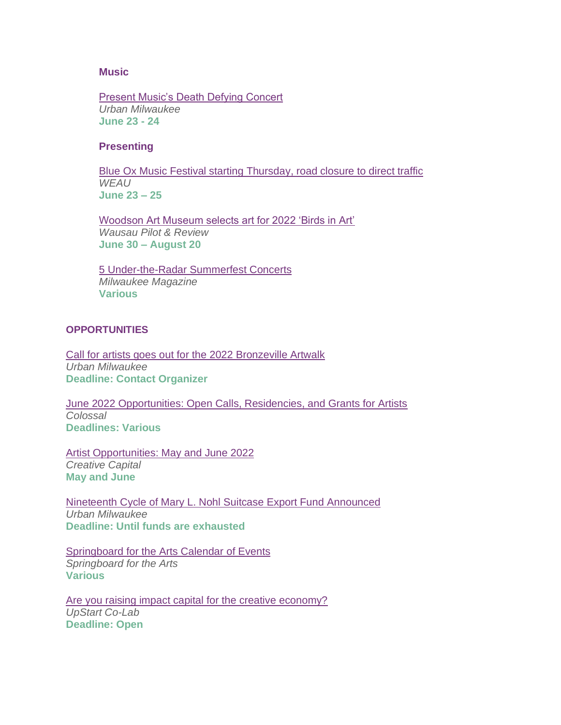#### **Music**

[Present Music's Death Defying Concert](https://urbanmilwaukee.com/2022/06/22/classical-present-musics-death-defying-concert/) *Urban Milwaukee* **June 23 - 24**

## **Presenting**

[Blue Ox Music Festival starting Thursday, road closure to direct traffic](https://www.weau.com/2022/06/23/blue-ox-music-festival-starting-thursday-road-closure-direct-traffic/) *WEAU* **June 23 – 25** 

[Woodson Art Museum selects art for 2022 'Birds in Art'](https://www.apg-wi.com/price_county_review/music-in-the-park-starts-june-30/article_bb35185f-2e24-5295-84d0-e19e9d903740.html) *Wausau Pilot & Review* **June 30 – August 20**

[5 Under-the-Radar Summerfest Concerts](https://www.milwaukeemag.com/5-under-the-radar-summerfest-concerts/) *Milwaukee Magazine* **Various**

#### <span id="page-8-0"></span>**OPPORTUNITIES**

[Call for artists goes out for the 2022 Bronzeville Artwalk](https://urbanmilwaukee.com/pressrelease/call-for-artists-goes-out-for-the-2022-bronzeville-artwalk/) *Urban Milwaukee* **Deadline: Contact Organizer**

[June 2022 Opportunities: Open Calls, Residencies, and Grants for Artists](https://www.thisiscolossal.com/2022/06/june-2022-opportunities-for-artists/) *Colossal* **Deadlines: Various**

[Artist Opportunities: May and June 2022](https://creative-capital.org/2022/04/29/artist-opportunities-may-and-june-2022/) *Creative Capital* **May and June**

[Nineteenth Cycle of Mary L. Nohl Suitcase Export Fund Announced](https://urbanmilwaukee.com/pressrelease/nineteenth-cycle-of-mary-l-nohl-suitcase-export-fund-announced/) *Urban Milwaukee* **Deadline: Until funds are exhausted**

[Springboard for the Arts Calendar](https://springboardforthearts.org/events/) of Events *Springboard for the Arts* **Various**

[Are you raising impact capital for the creative economy?](https://upstartco-lab.org/pipeline/) *UpStart Co-Lab* **Deadline: Open**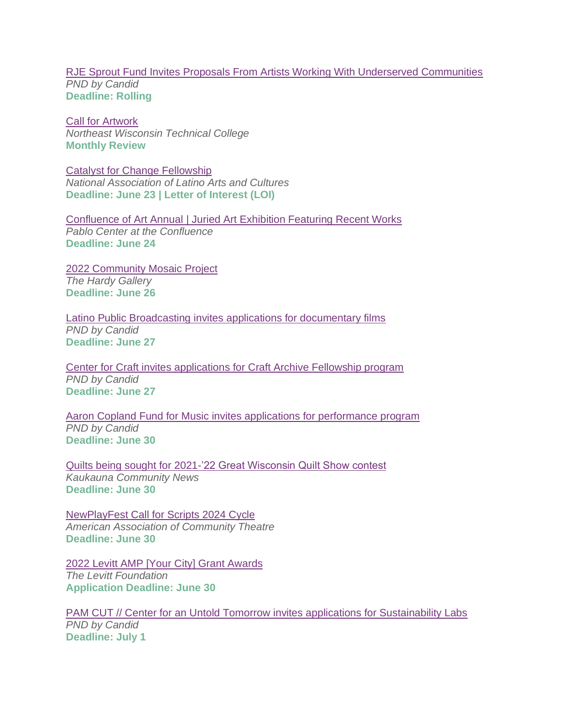## [RJE Sprout Fund Invites Proposals From Artists Working With Underserved Communities](https://philanthropynewsdigest.org/rfps/rfp12475-rje-sprout-fund-invites-proposals-from-artists-working-with-underserved-communities) *PND by Candid* **Deadline: Rolling**

[Call for Artwork](https://www.nwtc.edu/about-nwtc/places/call-for-artwork) *Northeast Wisconsin Technical College* **Monthly Review**

[Catalyst for Change Fellowship](https://www.nalac.org/grants/nalac-fund-for-the-arts/catalyst-for-change-award/) *National Association of Latino Arts and Cultures* **Deadline: June 23 | Letter of Interest (LOI)** 

[Confluence of Art Annual | Juried Art Exhibition Featuring Recent Works](https://www.pablocenter.org/assets/files/2022/04/22_coaa-registration-form.pdf) *Pablo Center at the Confluence* **Deadline: June 24**

[2022 Community Mosaic Project](https://thehardy.org/what-we-do/outreach/community-mosaic-project.html) *The Hardy Gallery* **Deadline: June 26**

[Latino Public Broadcasting invites applications for documentary films](https://philanthropynewsdigest.org/rfps/rfp13831-latino-public-broadcasting-invites-applications-for-documentary-films) *PND by Candid* **Deadline: June 27**

[Center for Craft invites applications for Craft Archive Fellowship program](https://philanthropynewsdigest.org/rfps/rfp13883-center-for-craft-invites-applications-for-craft-archive-fellowship-program?) *PND by Candid* **Deadline: June 27**

[Aaron Copland Fund for Music invites applications for performance program](https://philanthropynewsdigest.org/rfps/rfp13827-aaron-copland-fund-for-music-invites-applications-for-performance-program) *PND by Candid* **Deadline: June 30** 

[Quilts being sought for 2021-'22 Great Wisconsin Quilt Show contest](https://kaukaunacommunitynews.com/2022/06/02/quilts-being-sought-for-2021-22-great-wisconsin-quilt-show-contest/) *Kaukauna Community News* **Deadline: June 30**

[NewPlayFest Call for Scripts 2024 Cycle](https://aact.org/newplayfest-call-scripts) *American Association of Community Theatre* **Deadline: June 30**

[2022 Levitt AMP \[Your City\] Grant Awards](https://levitt.org/apply/) *The Levitt Foundation* **Application Deadline: June 30**

[PAM CUT // Center for an Untold Tomorrow invites applications for Sustainability Labs](https://philanthropynewsdigest.org/rfps/rfp13887-pam-cut-center-for-an-untold-tomorrow-invites-applications-for-sustainability-labs) *PND by Candid* **Deadline: July 1**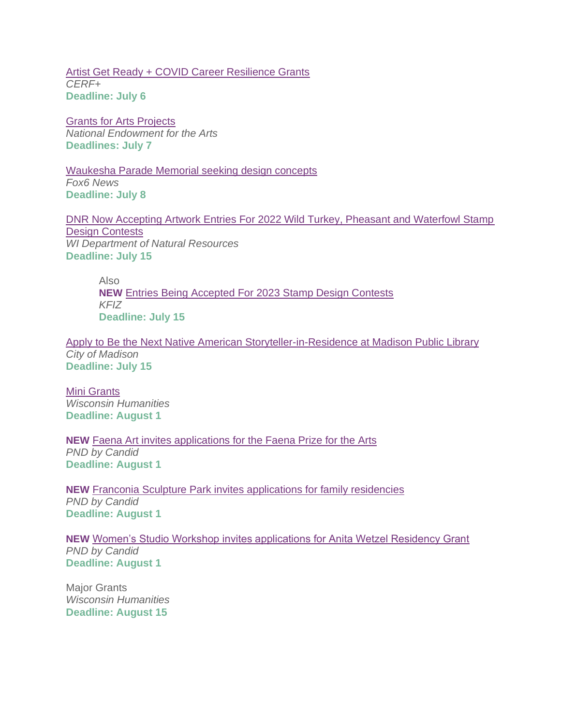[Artist Get Ready + COVID Career Resilience Grants](https://cerfplus.org/get-ready/get-ready-grants/) *CERF+* **Deadline: July 6**

[Grants for Arts Projects](https://www.arts.gov/grants/grants-for-arts-projects) *National Endowment for the Arts* **Deadlines: July 7**

[Waukesha Parade Memorial seeking design concepts](https://www.fox6now.com/news/waukesha-parade-memorial-seeking-design-concepts) *Fox6 News* **Deadline: July 8**

[DNR Now Accepting Artwork Entries For 2022 Wild Turkey, Pheasant and Waterfowl Stamp](https://dnr.wisconsin.gov/newsroom/release/53286)  [Design Contests](https://dnr.wisconsin.gov/newsroom/release/53286) *WI Department of Natural Resources* **Deadline: July 15**

Also **NEW** [Entries Being Accepted For 2023 Stamp Design Contests](https://www.kfiz.com/entries-being-accepted-for-2023-stamp-design-contests/) *KFIZ* **Deadline: July 15**

[Apply to Be the Next Native American Storyteller-in-Residence at Madison Public Library](https://www.cityofmadison.com/news/apply-to-be-the-next-native-american-storyteller-in-residence-at-madison-public-library) *City of Madison* **Deadline: July 15**

[Mini Grants](https://wisconsinhumanities.org/grants/grants-for-humanities-programs/) *Wisconsin Humanities* **Deadline: August 1**

**NEW** [Faena Art invites applications for the Faena Prize for the Arts](https://philanthropynewsdigest.org/rfps/rfp13914-faena-art-invites-applications-for-the-faena-prize-for-the-arts) *PND by Candid* **Deadline: August 1**

**NEW** [Franconia Sculpture Park invites applications for family residencies](https://philanthropynewsdigest.org/rfps/rfp13912-franconia-sculpture-park-invites-applications-for-family-residencies) *PND by Candid* **Deadline: August 1**

**NEW** [Women's Studio Workshop invites applications for Anita Wetzel Residency Grant](https://philanthropynewsdigest.org/rfps/rfp13920-women-s-studio-workshop-invites-applications-for-anita-wetzel-residency-grant) *PND by Candid* **Deadline: August 1**

Major Grants *Wisconsin Humanities* **Deadline: August 15**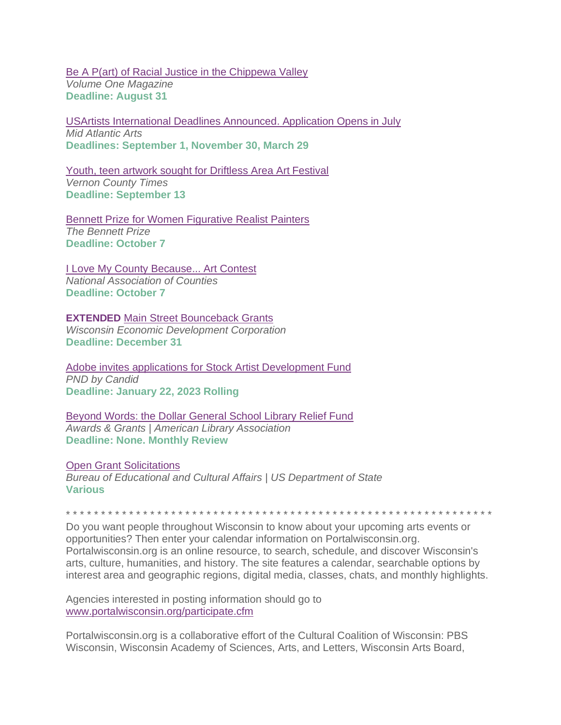[Be A P\(art\) of Racial Justice in the Chippewa Valley](https://volumeone.org/articles/2022/04/27/295275-be-a-part-of-racial-justice-in-the-chippewa) *Volume One Magazine* **Deadline: August 31**

[USArtists International Deadlines Announced. Application Opens in July](https://www.midatlanticarts.org/grants-programs/grants-for-artists/#usartists-international) *Mid Atlantic Arts* **Deadlines: September 1, November 30, March 29**

[Youth, teen artwork sought for Driftless Area Art Festival](https://lacrossetribune.com/community/vernonbroadcaster/news/youth-teen-artwork-sought-for-driftless-area-art-festival/article_a8658d5d-ad54-57b0-99ad-4e5ec29d6e15.html) *Vernon County Times* **Deadline: September 13**

[Bennett Prize for Women Figurative Realist Painters](https://thebennettprize.org/) *The Bennett Prize* **Deadline: October 7**

[I Love My County Because... Art Contest](https://www.naco.org/resources/i-love-my-county-because-art-contest) *National Association of Counties* **Deadline: October 7**

**EXTENDED** [Main Street Bounceback Grants](https://wedc.org/programs-and-resources/mainstreet-bounceback-grants/) *Wisconsin Economic Development Corporation* **Deadline: December 31**

[Adobe invites applications for Stock Artist Development Fund](https://philanthropynewsdigest.org/rfps/rfp13701-adobe-invites-applications-for-stock-artist-development-fund) *PND by Candid* **Deadline: January 22, 2023 Rolling**

[Beyond Words: the Dollar General School Library Relief Fund](http://www.ala.org/awardsgrants/awards/166/apply) *Awards & Grants | American Library Association* **Deadline: None. Monthly Review**

[Open Grant Solicitations](http://eca.state.gov/organizational-funding/open-grant-solicitations) *Bureau of Educational and Cultural Affairs | US Department of State* **Various**

\* \* \* \* \* \* \* \* \* \* \* \* \* \* \* \* \* \* \* \* \* \* \* \* \* \* \* \* \* \* \* \* \* \* \* \* \* \* \* \* \* \* \* \* \* \* \* \* \* \* \* \* \* \* \* \* \* \* \* \* \*

Do you want people throughout Wisconsin to know about your upcoming arts events or opportunities? Then enter your calendar information on Portalwisconsin.org. Portalwisconsin.org is an online resource, to search, schedule, and discover Wisconsin's arts, culture, humanities, and history. The site features a calendar, searchable options by interest area and geographic regions, digital media, classes, chats, and monthly highlights.

Agencies interested in posting information should go to [www.portalwisconsin.org/participate.cfm](http://www.portalwisconsin.org/participate.cfm)

Portalwisconsin.org is a collaborative effort of the Cultural Coalition of Wisconsin: PBS Wisconsin, Wisconsin Academy of Sciences, Arts, and Letters, Wisconsin Arts Board,